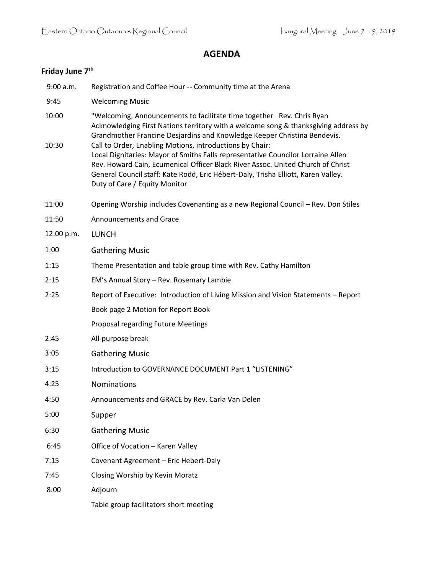## **AGENDA**

# **Friday June 7th**

| 9:00 a.m.  | Registration and Coffee Hour -- Community time at the Arena                                                                                                                                                                                                                                                                                           |
|------------|-------------------------------------------------------------------------------------------------------------------------------------------------------------------------------------------------------------------------------------------------------------------------------------------------------------------------------------------------------|
| 9:45       | <b>Welcoming Music</b>                                                                                                                                                                                                                                                                                                                                |
| 10:00      | "Welcoming, Announcements to facilitate time together Rev. Chris Ryan<br>Acknowledging First Nations territory with a welcome song & thanksgiving address by<br>Grandmother Francine Desjardins and Knowledge Keeper Christina Bendevis.                                                                                                              |
| 10:30      | Call to Order, Enabling Motions, introductions by Chair:<br>Local Dignitaries: Mayor of Smiths Falls representative Councilor Lorraine Allen<br>Rev. Howard Cain, Ecumenical Officer Black River Assoc. United Church of Christ<br>General Council staff: Kate Rodd, Eric Hébert-Daly, Trisha Elliott, Karen Valley.<br>Duty of Care / Equity Monitor |
| 11:00      | Opening Worship includes Covenanting as a new Regional Council - Rev. Don Stiles                                                                                                                                                                                                                                                                      |
| 11:50      | <b>Announcements and Grace</b>                                                                                                                                                                                                                                                                                                                        |
| 12:00 p.m. | <b>LUNCH</b>                                                                                                                                                                                                                                                                                                                                          |
| 1:00       | <b>Gathering Music</b>                                                                                                                                                                                                                                                                                                                                |
| 1:15       | Theme Presentation and table group time with Rev. Cathy Hamilton                                                                                                                                                                                                                                                                                      |
| 2:15       | EM's Annual Story - Rev. Rosemary Lambie                                                                                                                                                                                                                                                                                                              |
| 2:25       | Report of Executive: Introduction of Living Mission and Vision Statements - Report                                                                                                                                                                                                                                                                    |
|            | Book page 2 Motion for Report Book                                                                                                                                                                                                                                                                                                                    |
|            | Proposal regarding Future Meetings                                                                                                                                                                                                                                                                                                                    |
| 2:45       | All-purpose break                                                                                                                                                                                                                                                                                                                                     |
| 3:05       | <b>Gathering Music</b>                                                                                                                                                                                                                                                                                                                                |
| 3:15       | Introduction to GOVERNANCE DOCUMENT Part 1 "LISTENING"                                                                                                                                                                                                                                                                                                |
| 4:25       | <b>Nominations</b>                                                                                                                                                                                                                                                                                                                                    |
| 4:50       | Announcements and GRACE by Rev. Carla Van Delen                                                                                                                                                                                                                                                                                                       |
| 5:00       | Supper                                                                                                                                                                                                                                                                                                                                                |
| 6:30       | <b>Gathering Music</b>                                                                                                                                                                                                                                                                                                                                |
| 6:45       | Office of Vocation - Karen Valley                                                                                                                                                                                                                                                                                                                     |
| 7:15       | Covenant Agreement - Eric Hebert-Daly                                                                                                                                                                                                                                                                                                                 |
| 7:45       | Closing Worship by Kevin Moratz                                                                                                                                                                                                                                                                                                                       |
| 8:00       | Adjourn                                                                                                                                                                                                                                                                                                                                               |
|            | Table group facilitators short meeting                                                                                                                                                                                                                                                                                                                |